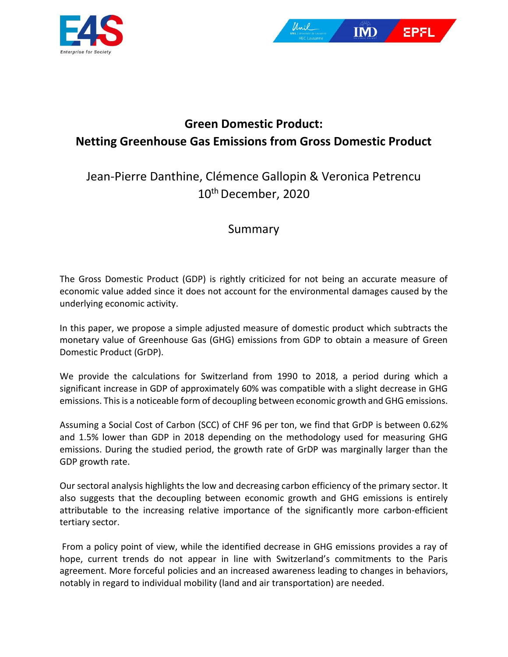



## **Green Domestic Product: Netting Greenhouse Gas Emissions from Gross Domestic Product**

## Jean-Pierre Danthine, Clémence Gallopin & Veronica Petrencu 10th December, 2020

## Summary

The Gross Domestic Product (GDP) is rightly criticized for not being an accurate measure of economic value added since it does not account for the environmental damages caused by the underlying economic activity.

In this paper, we propose a simple adjusted measure of domestic product which subtracts the monetary value of Greenhouse Gas (GHG) emissions from GDP to obtain a measure of Green Domestic Product (GrDP).

We provide the calculations for Switzerland from 1990 to 2018, a period during which a significant increase in GDP of approximately 60% was compatible with a slight decrease in GHG emissions. This is a noticeable form of decoupling between economic growth and GHG emissions.

Assuming a Social Cost of Carbon (SCC) of CHF 96 per ton, we find that GrDP is between 0.62% and 1.5% lower than GDP in 2018 depending on the methodology used for measuring GHG emissions. During the studied period, the growth rate of GrDP was marginally larger than the GDP growth rate.

Our sectoral analysis highlights the low and decreasing carbon efficiency of the primary sector. It also suggests that the decoupling between economic growth and GHG emissions is entirely attributable to the increasing relative importance of the significantly more carbon-efficient tertiary sector.

From a policy point of view, while the identified decrease in GHG emissions provides a ray of hope, current trends do not appear in line with Switzerland's commitments to the Paris agreement. More forceful policies and an increased awareness leading to changes in behaviors, notably in regard to individual mobility (land and air transportation) are needed.